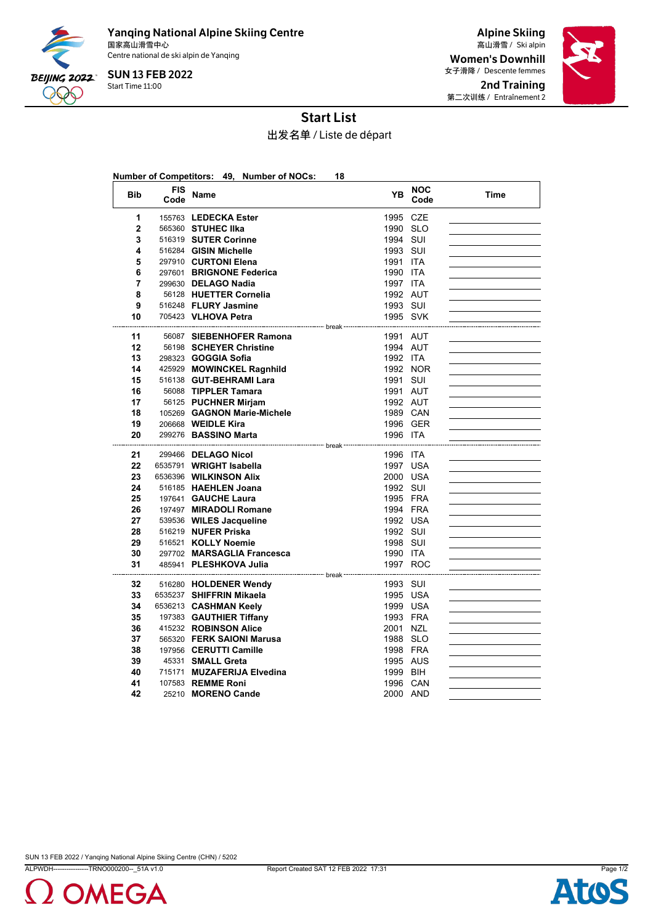

Yanqing National Alpine Skiing Centre 国家高山滑雪中心 Ski alpin 高山滑雪 / Centre national de ski alpin de Yanqing

Start Time 11:00 SUN 13 FEB 2022

Alpine Skiing Women's Downhill 女子滑降 / Descente femmes 2nd Training 第二次训练 / Entraînement 2



## Start List

出发名单 / Liste de départ

|                |                    | Number of Competitors: 49, Number of NOCs:        | 18                                |                    |      |
|----------------|--------------------|---------------------------------------------------|-----------------------------------|--------------------|------|
| <b>Bib</b>     | <b>FIS</b><br>Code | Name                                              | <b>YB</b>                         | <b>NOC</b><br>Code | Time |
| 1              |                    | 155763 LEDECKA Ester                              | 1995 CZE                          |                    |      |
| $\overline{2}$ |                    | 565360 STUHEC IIka                                | 1990 SLO                          |                    |      |
| 3              |                    | 516319 SUTER Corinne                              | 1994 SUI                          |                    |      |
| 4              |                    | 516284 GISIN Michelle                             | 1993 SUI                          |                    |      |
| 5              |                    | 297910 CURTONI Elena                              | 1991 ITA                          |                    |      |
| 6              |                    | 297601 BRIGNONE Federica                          | 1990 ITA                          |                    |      |
| $\overline{7}$ |                    | 299630 DELAGO Nadia                               | 1997 ITA                          |                    |      |
| 8              |                    | 56128 HUETTER Cornelia                            | 1992 AUT                          |                    |      |
| 9              |                    | 516248 FLURY Jasmine                              | 1993 SUI                          |                    |      |
| 10             |                    | 705423 VLHOVA Petra                               | 1995 SVK                          |                    |      |
| 11             |                    | 56087 SIEBENHOFER Ramona                          | 1991 AUT                          |                    |      |
| 12             |                    | 56198 SCHEYER Christine                           | 1994 AUT                          |                    |      |
| 13             |                    | 298323 GOGGIA Sofia                               | 1992 ITA                          |                    |      |
| 14             |                    | 425929 MOWINCKEL Ragnhild                         |                                   | 1992 NOR           |      |
| 15             |                    | 516138 GUT-BEHRAMI Lara                           | 1991 SUI                          |                    |      |
| 16             |                    | 56088 TIPPLER Tamara                              | 1991 AUT                          |                    |      |
| 17             |                    | 56125 PUCHNER Mirjam                              | 1992 AUT                          |                    |      |
| 18             |                    | 105269 GAGNON Marie-Michele                       | 1989 CAN                          |                    |      |
| 19             |                    | 206668 <b>WEIDLE Kira</b>                         | 1996 GER                          |                    |      |
| 20             |                    | 299276 BASSINO Marta                              | 1996 ITA                          |                    |      |
|                |                    |                                                   | <sup>---</sup> break <sup>.</sup> |                    |      |
| 21             |                    | 299466 DELAGO Nicol                               | 1996 ITA                          |                    |      |
| 22<br>23       |                    | 6535791 WRIGHT Isabella                           | 1997 USA                          |                    |      |
| 24             |                    | 6536396 WILKINSON Alix                            | 2000 USA                          |                    |      |
| 25             |                    | 516185 HAEHLEN Joana<br>197641 GAUCHE Laura       | 1992 SUI<br>1995 FRA              |                    |      |
| 26             |                    | 197497 MIRADOLI Romane                            | 1994 FRA                          |                    |      |
| 27             |                    | 539536 WILES Jacqueline                           | 1992 USA                          |                    |      |
| 28             |                    | 516219 NUFER Priska                               | 1992 SUI                          |                    |      |
| 29             |                    | 516521 KOLLY Noemie                               | 1998 SUI                          |                    |      |
| 30             |                    | 297702 MARSAGLIA Francesca                        | 1990 ITA                          |                    |      |
| 31             |                    | 485941 PLESHKOVA Julia                            | 1997 ROC                          |                    |      |
|                |                    | ------------------------- break ----------------  |                                   |                    |      |
| 32<br>33       |                    | 516280 HOLDENER Wendy                             | 1993 SUI                          |                    |      |
| 34             |                    | 6535237 SHIFFRIN Mikaela<br>6536213 CASHMAN Keely | 1995 USA<br>1999 USA              |                    |      |
| 35             |                    | 197383 GAUTHIER Tiffany                           | 1993 FRA                          |                    |      |
| 36             |                    | 415232 ROBINSON Alice                             | 2001 NZL                          |                    |      |
| 37             |                    | 565320 FERK SAIONI Marusa                         | 1988 SLO                          |                    |      |
| 38             |                    | 197956 CERUTTI Camille                            | 1998 FRA                          |                    |      |
| 39             |                    | 45331 SMALL Greta                                 | 1995 AUS                          |                    |      |
| 40             |                    | 715171 MUZAFERIJA Elvedina                        | 1999 BIH                          |                    |      |
| 41             |                    | 107583 REMME Roni                                 | 1996 CAN                          |                    |      |
| 42             |                    | 25210 MORENO Cande                                | 2000 AND                          |                    |      |
|                |                    |                                                   |                                   |                    |      |

SUN 13 FEB 2022 / Yanqing National Alpine Skiing Centre (CHN) / 5202

ALPWDH----------------TRNO000200--\_51A v1.0 Report Created SAT 12 FEB 2022 17:31 Page 1/2